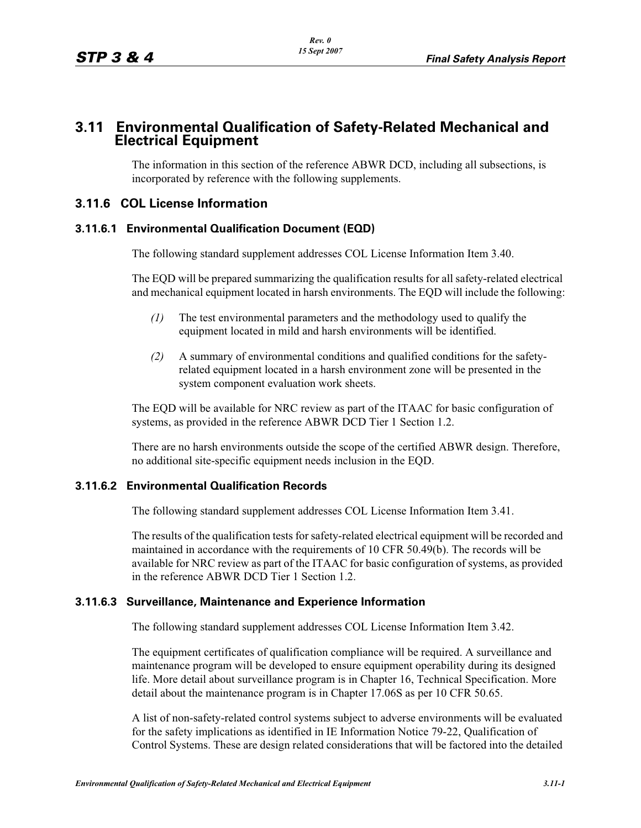# **3.11 Environmental Qualification of Safety-Related Mechanical and Electrical Equipment**

The information in this section of the reference ABWR DCD, including all subsections, is incorporated by reference with the following supplements.

### **3.11.6 COL License Information**

#### **3.11.6.1 Environmental Qualification Document (EQD)**

The following standard supplement addresses COL License Information Item 3.40.

The EQD will be prepared summarizing the qualification results for all safety-related electrical and mechanical equipment located in harsh environments. The EQD will include the following:

- *(1)* The test environmental parameters and the methodology used to qualify the equipment located in mild and harsh environments will be identified.
- *(2)* A summary of environmental conditions and qualified conditions for the safetyrelated equipment located in a harsh environment zone will be presented in the system component evaluation work sheets.

The EQD will be available for NRC review as part of the ITAAC for basic configuration of systems, as provided in the reference ABWR DCD Tier 1 Section 1.2.

There are no harsh environments outside the scope of the certified ABWR design. Therefore, no additional site-specific equipment needs inclusion in the EQD.

#### **3.11.6.2 Environmental Qualification Records**

The following standard supplement addresses COL License Information Item 3.41.

The results of the qualification tests for safety-related electrical equipment will be recorded and maintained in accordance with the requirements of 10 CFR 50.49(b). The records will be available for NRC review as part of the ITAAC for basic configuration of systems, as provided in the reference ABWR DCD Tier 1 Section 1.2.

#### **3.11.6.3 Surveillance, Maintenance and Experience Information**

The following standard supplement addresses COL License Information Item 3.42.

The equipment certificates of qualification compliance will be required. A surveillance and maintenance program will be developed to ensure equipment operability during its designed life. More detail about surveillance program is in Chapter 16, Technical Specification. More detail about the maintenance program is in Chapter 17.06S as per 10 CFR 50.65.

A list of non-safety-related control systems subject to adverse environments will be evaluated for the safety implications as identified in IE Information Notice 79-22, Qualification of Control Systems. These are design related considerations that will be factored into the detailed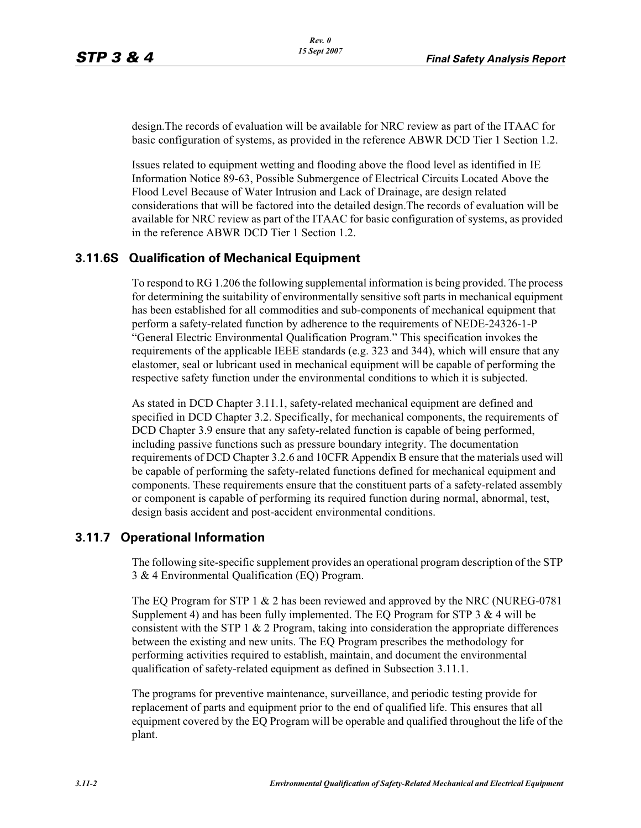design.The records of evaluation will be available for NRC review as part of the ITAAC for basic configuration of systems, as provided in the reference ABWR DCD Tier 1 Section 1.2.

Issues related to equipment wetting and flooding above the flood level as identified in IE Information Notice 89-63, Possible Submergence of Electrical Circuits Located Above the Flood Level Because of Water Intrusion and Lack of Drainage, are design related considerations that will be factored into the detailed design.The records of evaluation will be available for NRC review as part of the ITAAC for basic configuration of systems, as provided in the reference ABWR DCD Tier 1 Section 1.2.

### **3.11.6S Qualification of Mechanical Equipment**

To respond to RG 1.206 the following supplemental information is being provided. The process for determining the suitability of environmentally sensitive soft parts in mechanical equipment has been established for all commodities and sub-components of mechanical equipment that perform a safety-related function by adherence to the requirements of NEDE-24326-1-P "General Electric Environmental Qualification Program." This specification invokes the requirements of the applicable IEEE standards (e.g. 323 and 344), which will ensure that any elastomer, seal or lubricant used in mechanical equipment will be capable of performing the respective safety function under the environmental conditions to which it is subjected.

As stated in DCD Chapter 3.11.1, safety-related mechanical equipment are defined and specified in DCD Chapter 3.2. Specifically, for mechanical components, the requirements of DCD Chapter 3.9 ensure that any safety-related function is capable of being performed, including passive functions such as pressure boundary integrity. The documentation requirements of DCD Chapter 3.2.6 and 10CFR Appendix B ensure that the materials used will be capable of performing the safety-related functions defined for mechanical equipment and components. These requirements ensure that the constituent parts of a safety-related assembly or component is capable of performing its required function during normal, abnormal, test, design basis accident and post-accident environmental conditions.

### **3.11.7 Operational Information**

The following site-specific supplement provides an operational program description of the STP 3 & 4 Environmental Qualification (EQ) Program.

The EQ Program for STP 1 & 2 has been reviewed and approved by the NRC (NUREG-0781 Supplement 4) and has been fully implemented. The EQ Program for STP 3  $&$  4 will be consistent with the STP 1  $\&$  2 Program, taking into consideration the appropriate differences between the existing and new units. The EQ Program prescribes the methodology for performing activities required to establish, maintain, and document the environmental qualification of safety-related equipment as defined in Subsection 3.11.1.

The programs for preventive maintenance, surveillance, and periodic testing provide for replacement of parts and equipment prior to the end of qualified life. This ensures that all equipment covered by the EQ Program will be operable and qualified throughout the life of the plant.